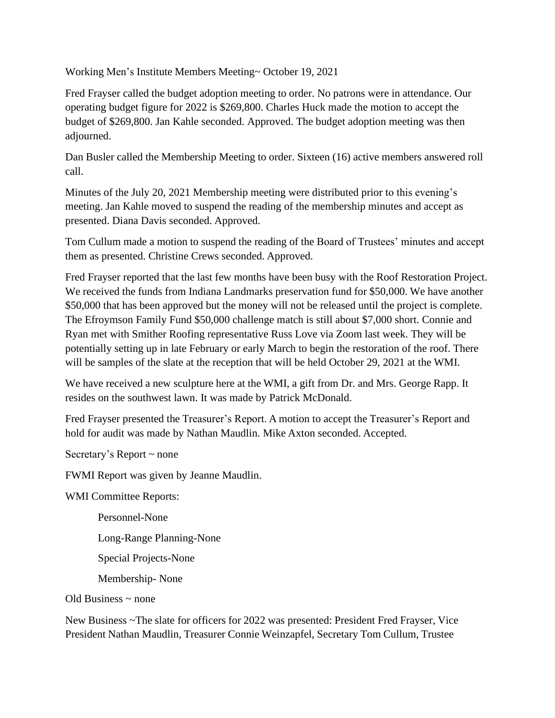Working Men's Institute Members Meeting~ October 19, 2021

Fred Frayser called the budget adoption meeting to order. No patrons were in attendance. Our operating budget figure for 2022 is \$269,800. Charles Huck made the motion to accept the budget of \$269,800. Jan Kahle seconded. Approved. The budget adoption meeting was then adjourned.

Dan Busler called the Membership Meeting to order. Sixteen (16) active members answered roll call.

Minutes of the July 20, 2021 Membership meeting were distributed prior to this evening's meeting. Jan Kahle moved to suspend the reading of the membership minutes and accept as presented. Diana Davis seconded. Approved.

Tom Cullum made a motion to suspend the reading of the Board of Trustees' minutes and accept them as presented. Christine Crews seconded. Approved.

Fred Frayser reported that the last few months have been busy with the Roof Restoration Project. We received the funds from Indiana Landmarks preservation fund for \$50,000. We have another \$50,000 that has been approved but the money will not be released until the project is complete. The Efroymson Family Fund \$50,000 challenge match is still about \$7,000 short. Connie and Ryan met with Smither Roofing representative Russ Love via Zoom last week. They will be potentially setting up in late February or early March to begin the restoration of the roof. There will be samples of the slate at the reception that will be held October 29, 2021 at the WMI.

We have received a new sculpture here at the WMI, a gift from Dr. and Mrs. George Rapp. It resides on the southwest lawn. It was made by Patrick McDonald.

Fred Frayser presented the Treasurer's Report. A motion to accept the Treasurer's Report and hold for audit was made by Nathan Maudlin. Mike Axton seconded. Accepted.

Secretary's Report ~ none

FWMI Report was given by Jeanne Maudlin.

WMI Committee Reports:

Personnel-None Long-Range Planning-None Special Projects-None

Membership- None

Old Business  $\sim$  none

New Business ~The slate for officers for 2022 was presented: President Fred Frayser, Vice President Nathan Maudlin, Treasurer Connie Weinzapfel, Secretary Tom Cullum, Trustee